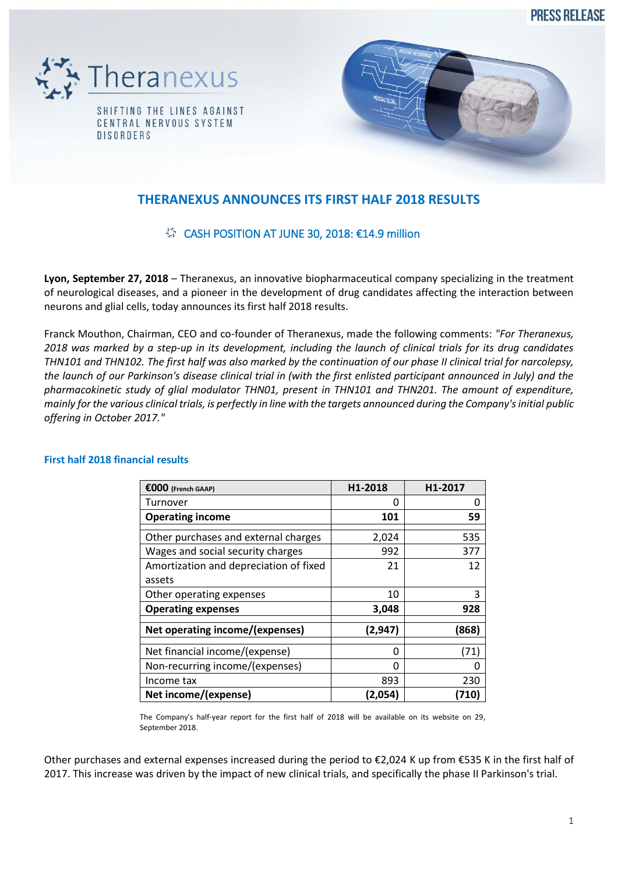**PRESS RELEASE** 





# **THERANEXUS ANNOUNCES ITS FIRST HALF 2018 RESULTS**

## $\$  CASH POSITION AT JUNE 30, 2018: €14.9 million

**Lyon, September 27, 2018** – Theranexus, an innovative biopharmaceutical company specializing in the treatment of neurological diseases, and a pioneer in the development of drug candidates affecting the interaction between neurons and glial cells, today announces its first half 2018 results.

Franck Mouthon, Chairman, CEO and co-founder of Theranexus, made the following comments: *"For Theranexus, 2018 was marked by a step-up in its development, including the launch of clinical trials for its drug candidates THN101 and THN102. The first half was also marked by the continuation of our phase II clinical trial for narcolepsy, the launch of our Parkinson's disease clinical trial in (with the first enlisted participant announced in July) and the pharmacokinetic study of glial modulator THN01, present in THN101 and THN201. The amount of expenditure, mainly for the various clinical trials, is perfectly in line with the targets announced during the Company's initial public offering in October 2017."* 

| $\epsilon$ 000 (French GAAP)           | H1-2018  | H1-2017 |
|----------------------------------------|----------|---------|
| Turnover                               | 0        | O       |
| <b>Operating income</b>                | 101      | 59      |
| Other purchases and external charges   | 2,024    | 535     |
| Wages and social security charges      | 992      | 377     |
| Amortization and depreciation of fixed | 21       | 12      |
| assets                                 |          |         |
| Other operating expenses               | 10       | 3       |
| <b>Operating expenses</b>              | 3,048    | 928     |
| Net operating income/(expenses)        | (2, 947) | (868)   |
| Net financial income/(expense)         | O        | (71)    |
| Non-recurring income/(expenses)        | ŋ        |         |
| Income tax                             | 893      | 230     |
| Net income/(expense)                   | (2,054)  | (710)   |

### **First half 2018 financial results**

The Company's half-year report for the first half of 2018 will be available on its website on 29, September 2018.

Other purchases and external expenses increased during the period to €2,024 K up from €535 K in the first half of 2017. This increase was driven by the impact of new clinical trials, and specifically the phase II Parkinson's trial.